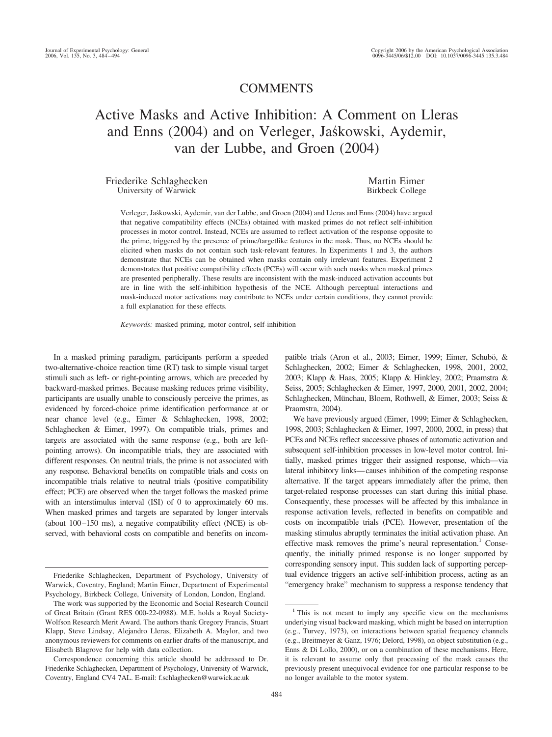# Active Masks and Active Inhibition: A Comment on Lleras and Enns (2004) and on Verleger, Jaskowski, Aydemir, van der Lubbe, and Groen (2004)

Friederike Schlaghecken University of Warwick

Martin Eimer Birkbeck College

Verleger, Jaskowski, Aydemir, van der Lubbe, and Groen (2004) and Lleras and Enns (2004) have argued that negative compatibility effects (NCEs) obtained with masked primes do not reflect self-inhibition processes in motor control. Instead, NCEs are assumed to reflect activation of the response opposite to the prime, triggered by the presence of prime/targetlike features in the mask. Thus, no NCEs should be elicited when masks do not contain such task-relevant features. In Experiments 1 and 3, the authors demonstrate that NCEs can be obtained when masks contain only irrelevant features. Experiment 2 demonstrates that positive compatibility effects (PCEs) will occur with such masks when masked primes are presented peripherally. These results are inconsistent with the mask-induced activation accounts but are in line with the self-inhibition hypothesis of the NCE. Although perceptual interactions and mask-induced motor activations may contribute to NCEs under certain conditions, they cannot provide a full explanation for these effects.

*Keywords:* masked priming, motor control, self-inhibition

In a masked priming paradigm, participants perform a speeded two-alternative-choice reaction time (RT) task to simple visual target stimuli such as left- or right-pointing arrows, which are preceded by backward-masked primes. Because masking reduces prime visibility, participants are usually unable to consciously perceive the primes, as evidenced by forced-choice prime identification performance at or near chance level (e.g., Eimer & Schlaghecken, 1998, 2002; Schlaghecken & Eimer, 1997). On compatible trials, primes and targets are associated with the same response (e.g., both are leftpointing arrows). On incompatible trials, they are associated with different responses. On neutral trials, the prime is not associated with any response. Behavioral benefits on compatible trials and costs on incompatible trials relative to neutral trials (positive compatibility effect; PCE) are observed when the target follows the masked prime with an interstimulus interval (ISI) of 0 to approximately 60 ms. When masked primes and targets are separated by longer intervals (about  $100-150$  ms), a negative compatibility effect (NCE) is observed, with behavioral costs on compatible and benefits on incompatible trials (Aron et al., 2003; Eimer, 1999; Eimer, Schubö, & Schlaghecken, 2002; Eimer & Schlaghecken, 1998, 2001, 2002, 2003; Klapp & Haas, 2005; Klapp & Hinkley, 2002; Praamstra & Seiss, 2005; Schlaghecken & Eimer, 1997, 2000, 2001, 2002, 2004; Schlaghecken, Münchau, Bloem, Rothwell, & Eimer, 2003; Seiss & Praamstra, 2004).

We have previously argued (Eimer, 1999; Eimer & Schlaghecken, 1998, 2003; Schlaghecken & Eimer, 1997, 2000, 2002, in press) that PCEs and NCEs reflect successive phases of automatic activation and subsequent self-inhibition processes in low-level motor control. Initially, masked primes trigger their assigned response, which—via lateral inhibitory links—causes inhibition of the competing response alternative. If the target appears immediately after the prime, then target-related response processes can start during this initial phase. Consequently, these processes will be affected by this imbalance in response activation levels, reflected in benefits on compatible and costs on incompatible trials (PCE). However, presentation of the masking stimulus abruptly terminates the initial activation phase. An effective mask removes the prime's neural representation.<sup>1</sup> Consequently, the initially primed response is no longer supported by corresponding sensory input. This sudden lack of supporting perceptual evidence triggers an active self-inhibition process, acting as an "emergency brake" mechanism to suppress a response tendency that

Friederike Schlaghecken, Department of Psychology, University of Warwick, Coventry, England; Martin Eimer, Department of Experimental Psychology, Birkbeck College, University of London, London, England.

The work was supported by the Economic and Social Research Council of Great Britain (Grant RES 000-22-0988). M.E. holds a Royal Society-Wolfson Research Merit Award. The authors thank Gregory Francis, Stuart Klapp, Steve Lindsay, Alejandro Lleras, Elizabeth A. Maylor, and two anonymous reviewers for comments on earlier drafts of the manuscript, and Elisabeth Blagrove for help with data collection.

Correspondence concerning this article should be addressed to Dr. Friederike Schlaghecken, Department of Psychology, University of Warwick, Coventry, England CV4 7AL. E-mail: f.schlaghecken@warwick.ac.uk

<sup>&</sup>lt;sup>1</sup> This is not meant to imply any specific view on the mechanisms underlying visual backward masking, which might be based on interruption (e.g., Turvey, 1973), on interactions between spatial frequency channels (e.g., Breitmeyer & Ganz, 1976; Delord, 1998), on object substitution (e.g., Enns & Di Lollo, 2000), or on a combination of these mechanisms. Here, it is relevant to assume only that processing of the mask causes the previously present unequivocal evidence for one particular response to be no longer available to the motor system.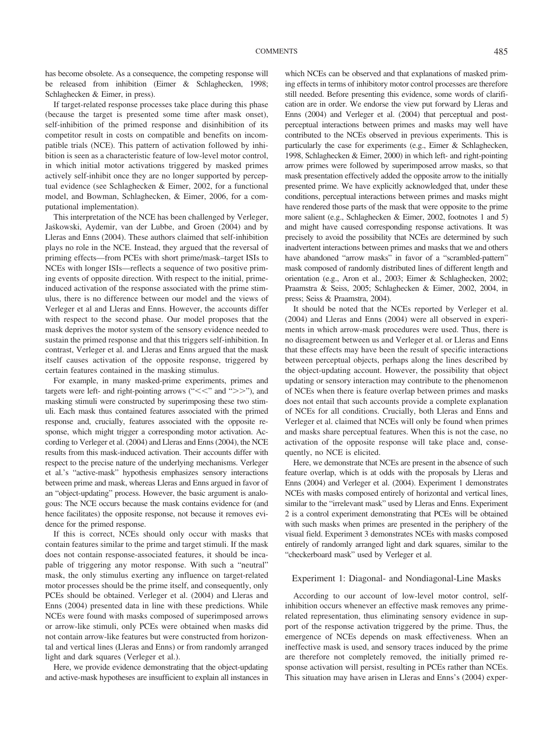has become obsolete. As a consequence, the competing response will be released from inhibition (Eimer & Schlaghecken, 1998; Schlaghecken & Eimer, in press).

If target-related response processes take place during this phase (because the target is presented some time after mask onset), self-inhibition of the primed response and disinhibition of its competitor result in costs on compatible and benefits on incompatible trials (NCE). This pattern of activation followed by inhibition is seen as a characteristic feature of low-level motor control, in which initial motor activations triggered by masked primes actively self-inhibit once they are no longer supported by perceptual evidence (see Schlaghecken & Eimer, 2002, for a functional model, and Bowman, Schlaghecken, & Eimer, 2006, for a computational implementation).

This interpretation of the NCE has been challenged by Verleger, Jaskowski, Aydemir, van der Lubbe, and Groen (2004) and by Lleras and Enns (2004). These authors claimed that self-inhibition plays no role in the NCE. Instead, they argued that the reversal of priming effects—from PCEs with short prime/mask–target ISIs to NCEs with longer ISIs—reflects a sequence of two positive priming events of opposite direction. With respect to the initial, primeinduced activation of the response associated with the prime stimulus, there is no difference between our model and the views of Verleger et al and Lleras and Enns. However, the accounts differ with respect to the second phase. Our model proposes that the mask deprives the motor system of the sensory evidence needed to sustain the primed response and that this triggers self-inhibition. In contrast, Verleger et al. and Lleras and Enns argued that the mask itself causes activation of the opposite response, triggered by certain features contained in the masking stimulus.

For example, in many masked-prime experiments, primes and targets were left- and right-pointing arrows (" $<<$ " and " $>>$ "), and masking stimuli were constructed by superimposing these two stimuli. Each mask thus contained features associated with the primed response and, crucially, features associated with the opposite response, which might trigger a corresponding motor activation. According to Verleger et al. (2004) and Lleras and Enns (2004), the NCE results from this mask-induced activation. Their accounts differ with respect to the precise nature of the underlying mechanisms. Verleger et al.'s "active-mask" hypothesis emphasizes sensory interactions between prime and mask, whereas Lleras and Enns argued in favor of an "object-updating" process. However, the basic argument is analogous: The NCE occurs because the mask contains evidence for (and hence facilitates) the opposite response, not because it removes evidence for the primed response.

If this is correct, NCEs should only occur with masks that contain features similar to the prime and target stimuli. If the mask does not contain response-associated features, it should be incapable of triggering any motor response. With such a "neutral" mask, the only stimulus exerting any influence on target-related motor processes should be the prime itself, and consequently, only PCEs should be obtained. Verleger et al. (2004) and Lleras and Enns (2004) presented data in line with these predictions. While NCEs were found with masks composed of superimposed arrows or arrow-like stimuli, only PCEs were obtained when masks did not contain arrow-like features but were constructed from horizontal and vertical lines (Lleras and Enns) or from randomly arranged light and dark squares (Verleger et al.).

Here, we provide evidence demonstrating that the object-updating and active-mask hypotheses are insufficient to explain all instances in which NCEs can be observed and that explanations of masked priming effects in terms of inhibitory motor control processes are therefore still needed. Before presenting this evidence, some words of clarification are in order. We endorse the view put forward by Lleras and Enns (2004) and Verleger et al. (2004) that perceptual and postperceptual interactions between primes and masks may well have contributed to the NCEs observed in previous experiments. This is particularly the case for experiments (e.g., Eimer & Schlaghecken, 1998, Schlaghecken & Eimer, 2000) in which left- and right-pointing arrow primes were followed by superimposed arrow masks, so that mask presentation effectively added the opposite arrow to the initially presented prime. We have explicitly acknowledged that, under these conditions, perceptual interactions between primes and masks might have rendered those parts of the mask that were opposite to the prime more salient (e.g., Schlaghecken & Eimer, 2002, footnotes 1 and 5) and might have caused corresponding response activations. It was precisely to avoid the possibility that NCEs are determined by such inadvertent interactions between primes and masks that we and others have abandoned "arrow masks" in favor of a "scrambled-pattern" mask composed of randomly distributed lines of different length and orientation (e.g., Aron et al., 2003; Eimer & Schlaghecken, 2002; Praamstra & Seiss, 2005; Schlaghecken & Eimer, 2002, 2004, in press; Seiss & Praamstra, 2004).

It should be noted that the NCEs reported by Verleger et al. (2004) and Lleras and Enns (2004) were all observed in experiments in which arrow-mask procedures were used. Thus, there is no disagreement between us and Verleger et al. or Lleras and Enns that these effects may have been the result of specific interactions between perceptual objects, perhaps along the lines described by the object-updating account. However, the possibility that object updating or sensory interaction may contribute to the phenomenon of NCEs when there is feature overlap between primes and masks does not entail that such accounts provide a complete explanation of NCEs for all conditions. Crucially, both Lleras and Enns and Verleger et al. claimed that NCEs will only be found when primes and masks share perceptual features. When this is not the case, no activation of the opposite response will take place and, consequently, no NCE is elicited.

Here, we demonstrate that NCEs are present in the absence of such feature overlap, which is at odds with the proposals by Lleras and Enns (2004) and Verleger et al. (2004). Experiment 1 demonstrates NCEs with masks composed entirely of horizontal and vertical lines, similar to the "irrelevant mask" used by Lleras and Enns. Experiment 2 is a control experiment demonstrating that PCEs will be obtained with such masks when primes are presented in the periphery of the visual field. Experiment 3 demonstrates NCEs with masks composed entirely of randomly arranged light and dark squares, similar to the "checkerboard mask" used by Verleger et al.

#### Experiment 1: Diagonal- and Nondiagonal-Line Masks

According to our account of low-level motor control, selfinhibition occurs whenever an effective mask removes any primerelated representation, thus eliminating sensory evidence in support of the response activation triggered by the prime. Thus, the emergence of NCEs depends on mask effectiveness. When an ineffective mask is used, and sensory traces induced by the prime are therefore not completely removed, the initially primed response activation will persist, resulting in PCEs rather than NCEs. This situation may have arisen in Lleras and Enns's (2004) exper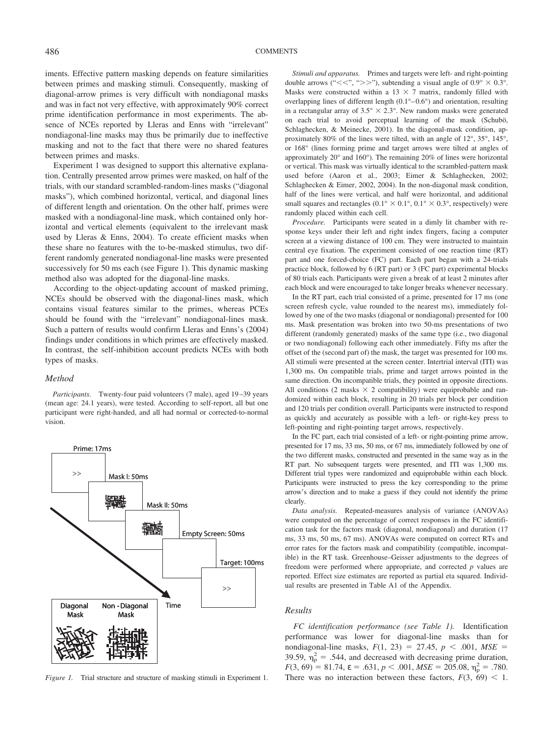iments. Effective pattern masking depends on feature similarities between primes and masking stimuli. Consequently, masking of diagonal-arrow primes is very difficult with nondiagonal masks and was in fact not very effective, with approximately 90% correct prime identification performance in most experiments. The absence of NCEs reported by Lleras and Enns with "irrelevant" nondiagonal-line masks may thus be primarily due to ineffective masking and not to the fact that there were no shared features between primes and masks.

Experiment 1 was designed to support this alternative explanation. Centrally presented arrow primes were masked, on half of the trials, with our standard scrambled-random-lines masks ("diagonal masks"), which combined horizontal, vertical, and diagonal lines of different length and orientation. On the other half, primes were masked with a nondiagonal-line mask, which contained only horizontal and vertical elements (equivalent to the irrelevant mask used by Lleras & Enns, 2004). To create efficient masks when these share no features with the to-be-masked stimulus, two different randomly generated nondiagonal-line masks were presented successively for 50 ms each (see Figure 1). This dynamic masking method also was adopted for the diagonal-line masks.

According to the object-updating account of masked priming, NCEs should be observed with the diagonal-lines mask, which contains visual features similar to the primes, whereas PCEs should be found with the "irrelevant" nondiagonal-lines mask. Such a pattern of results would confirm Lleras and Enns's (2004) findings under conditions in which primes are effectively masked. In contrast, the self-inhibition account predicts NCEs with both types of masks.

#### *Method*

Participants. Twenty-four paid volunteers (7 male), aged 19-39 years (mean age: 24.1 years), were tested. According to self-report, all but one participant were right-handed, and all had normal or corrected-to-normal vision.



*Figure 1.* Trial structure and structure of masking stimuli in Experiment 1.

*Stimuli and apparatus.* Primes and targets were left- and right-pointing double arrows (" $<<$ ", ">>"), subtending a visual angle of  $0.9^{\circ} \times 0.3^{\circ}$ . Masks were constructed within a 13  $\times$  7 matrix, randomly filled with overlapping lines of different length  $(0.1^{\circ} - 0.6^{\circ})$  and orientation, resulting in a rectangular array of  $3.5^{\circ} \times 2.3^{\circ}$ . New random masks were generated on each trial to avoid perceptual learning of the mask (Schubö, Schlaghecken, & Meinecke, 2001). In the diagonal-mask condition, approximately 80% of the lines were tilted, with an angle of 12°, 35°, 145°, or 168° (lines forming prime and target arrows were tilted at angles of approximately 20° and 160°). The remaining 20% of lines were horizontal or vertical. This mask was virtually identical to the scrambled-pattern mask used before (Aaron et al., 2003; Eimer & Schlaghecken, 2002; Schlaghecken & Eimer, 2002, 2004). In the non-diagonal mask condition, half of the lines were vertical, and half were horizontal, and additional small squares and rectangles  $(0.1^{\circ} \times 0.1^{\circ}, 0.1^{\circ} \times 0.3^{\circ})$ , respectively) were randomly placed within each cell.

*Procedure.* Participants were seated in a dimly lit chamber with response keys under their left and right index fingers, facing a computer screen at a viewing distance of 100 cm. They were instructed to maintain central eye fixation. The experiment consisted of one reaction time (RT) part and one forced-choice (FC) part. Each part began with a 24-trials practice block, followed by 6 (RT part) or 3 (FC part) experimental blocks of 80 trials each. Participants were given a break of at least 2 minutes after each block and were encouraged to take longer breaks whenever necessary.

In the RT part, each trial consisted of a prime, presented for 17 ms (one screen refresh cycle, value rounded to the nearest ms), immediately followed by one of the two masks (diagonal or nondiagonal) presented for 100 ms. Mask presentation was broken into two 50-ms presentations of two different (randomly generated) masks of the same type (i.e., two diagonal or two nondiagonal) following each other immediately. Fifty ms after the offset of the (second part of) the mask, the target was presented for 100 ms. All stimuli were presented at the screen center. Intertrial interval (ITI) was 1,300 ms. On compatible trials, prime and target arrows pointed in the same direction. On incompatible trials, they pointed in opposite directions. All conditions (2 masks  $\times$  2 compatibility) were equiprobable and randomized within each block, resulting in 20 trials per block per condition and 120 trials per condition overall. Participants were instructed to respond as quickly and accurately as possible with a left- or right-key press to left-pointing and right-pointing target arrows, respectively.

In the FC part, each trial consisted of a left- or right-pointing prime arrow, presented for 17 ms, 33 ms, 50 ms, or 67 ms, immediately followed by one of the two different masks, constructed and presented in the same way as in the RT part. No subsequent targets were presented, and ITI was 1,300 ms. Different trial types were randomized and equiprobable within each block. Participants were instructed to press the key corresponding to the prime arrow's direction and to make a guess if they could not identify the prime clearly.

*Data analysis.* Repeated-measures analysis of variance (ANOVAs) were computed on the percentage of correct responses in the FC identification task for the factors mask (diagonal, nondiagonal) and duration (17 ms, 33 ms, 50 ms, 67 ms). ANOVAs were computed on correct RTs and error rates for the factors mask and compatibility (compatible, incompatible) in the RT task. Greenhouse–Geisser adjustments to the degrees of freedom were performed where appropriate, and corrected *p* values are reported. Effect size estimates are reported as partial eta squared. Individual results are presented in Table A1 of the Appendix.

#### *Results*

*FC identification performance (see Table 1).* Identification performance was lower for diagonal-line masks than for nondiagonal-line masks,  $F(1, 23) = 27.45$ ,  $p < .001$ ,  $MSE =$ 39.59,  $\eta_p^2 = .544$ , and decreased with decreasing prime duration,  $F(3, 69) = 81.74$ ,  $\varepsilon = .631$ ,  $p < .001$ ,  $MSE = 205.08$ ,  $\eta_p^2 = .780$ . There was no interaction between these factors,  $F(3, 69) < 1$ .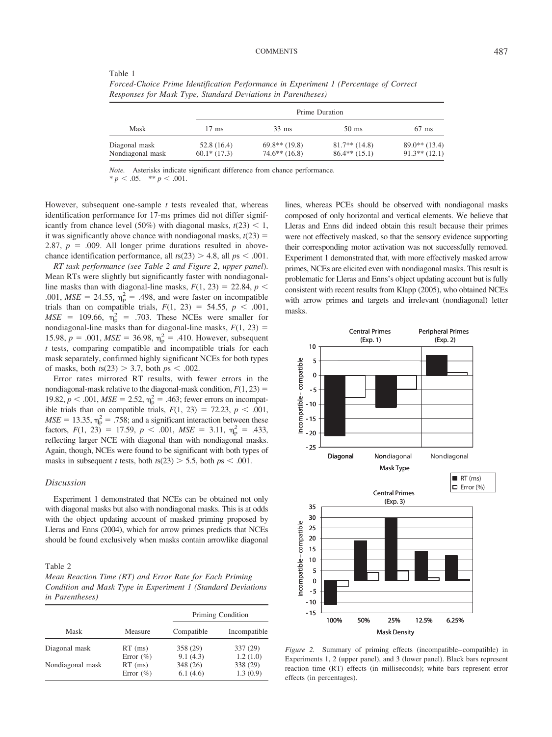#### Table 1

|  |  |                                                              | Forced-Choice Prime Identification Performance in Experiment 1 (Percentage of Correct |  |
|--|--|--------------------------------------------------------------|---------------------------------------------------------------------------------------|--|
|  |  | Responses for Mask Type, Standard Deviations in Parentheses) |                                                                                       |  |

|                                   |                              | Prime Duration                     |                                    |                                    |  |  |
|-----------------------------------|------------------------------|------------------------------------|------------------------------------|------------------------------------|--|--|
| Mask                              | 17 ms                        | $33 \text{ ms}$                    | $50 \text{ ms}$                    | $67$ ms                            |  |  |
| Diagonal mask<br>Nondiagonal mask | 52.8(16.4)<br>$60.1*$ (17.3) | $69.8**$ (19.8)<br>$74.6**$ (16.8) | $81.7**$ (14.8)<br>$86.4**$ (15.1) | $89.0**$ (13.4)<br>$91.3**$ (12.1) |  |  |

*Note.* Asterisks indicate significant difference from chance performance.  $* p < .05.$  \*\*  $p < .001.$ 

However, subsequent one-sample *t* tests revealed that, whereas identification performance for 17-ms primes did not differ significantly from chance level (50%) with diagonal masks,  $t(23) < 1$ , it was significantly above chance with nondiagonal masks,  $t(23)$  = 2.87,  $p = .009$ . All longer prime durations resulted in abovechance identification performance, all  $t s(23) > 4.8$ , all  $p s < .001$ .

*RT task performance (see Table 2 and Figure 2*, *upper panel*). Mean RTs were slightly but significantly faster with nondiagonalline masks than with diagonal-line masks,  $F(1, 23) = 22.84$ ,  $p <$ .001,  $MSE = 24.55$ ,  $\eta_p^2 = .498$ , and were faster on incompatible trials than on compatible trials,  $F(1, 23) = 54.55$ ,  $p < .001$ ,  $MSE = 109.66$ ,  $\eta_p^2 = .703$ . These NCEs were smaller for nondiagonal-line masks than for diagonal-line masks,  $F(1, 23) =$ 15.98,  $p = .001$ ,  $MSE = 36.98$ ,  $\eta_p^2 = .410$ . However, subsequent *t* tests, comparing compatible and incompatible trials for each mask separately, confirmed highly significant NCEs for both types of masks, both  $t s(23) > 3.7$ , both  $p s < .002$ .

Error rates mirrored RT results, with fewer errors in the nondiagonal-mask relative to the diagonal-mask condition,  $F(1, 23)$  = 19.82,  $p < .001$ ,  $MSE = 2.52$ ,  $\eta_p^2 = .463$ ; fewer errors on incompatible trials than on compatible trials,  $F(1, 23) = 72.23$ ,  $p < .001$ ,  $MSE = 13.35$ ,  $\eta_p^2 = .758$ ; and a significant interaction between these factors,  $F(1, 23) = 17.59$ ,  $p < .001$ ,  $MSE = 3.11$ ,  $\eta_p^2 = .433$ , reflecting larger NCE with diagonal than with nondiagonal masks. Again, though, NCEs were found to be significant with both types of masks in subsequent *t* tests, both  $t s(23) > 5.5$ , both  $p s < .001$ .

#### *Discussion*

Experiment 1 demonstrated that NCEs can be obtained not only with diagonal masks but also with nondiagonal masks. This is at odds with the object updating account of masked priming proposed by Lleras and Enns (2004), which for arrow primes predicts that NCEs should be found exclusively when masks contain arrowlike diagonal

#### Table 2

*Mean Reaction Time (RT) and Error Rate for Each Priming Condition and Mask Type in Experiment 1 (Standard Deviations in Parentheses)*

|                  |               |            | Priming Condition |
|------------------|---------------|------------|-------------------|
| Mask             | Measure       | Compatible | Incompatible      |
| Diagonal mask    | $RT$ (ms)     | 358 (29)   | 337 (29)          |
|                  | Error $(\% )$ | 9.1(4.3)   | 1.2(1.0)          |
| Nondiagonal mask | $RT$ (ms)     | 348 (26)   | 338 (29)          |
|                  | Error $(\% )$ | 6.1(4.6)   | 1.3(0.9)          |

lines, whereas PCEs should be observed with nondiagonal masks composed of only horizontal and vertical elements. We believe that Lleras and Enns did indeed obtain this result because their primes were not effectively masked, so that the sensory evidence supporting their corresponding motor activation was not successfully removed. Experiment 1 demonstrated that, with more effectively masked arrow primes, NCEs are elicited even with nondiagonal masks. This result is problematic for Lleras and Enns's object updating account but is fully consistent with recent results from Klapp (2005), who obtained NCEs with arrow primes and targets and irrelevant (nondiagonal) letter masks.



*Figure 2.* Summary of priming effects (incompatible– compatible) in Experiments 1, 2 (upper panel), and 3 (lower panel). Black bars represent reaction time (RT) effects (in milliseconds); white bars represent error effects (in percentages).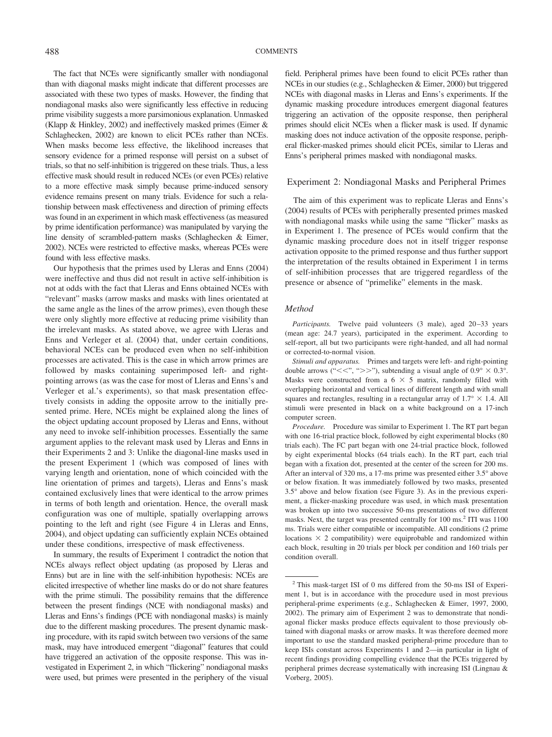The fact that NCEs were significantly smaller with nondiagonal than with diagonal masks might indicate that different processes are associated with these two types of masks. However, the finding that nondiagonal masks also were significantly less effective in reducing prime visibility suggests a more parsimonious explanation. Unmasked (Klapp & Hinkley, 2002) and ineffectively masked primes (Eimer & Schlaghecken, 2002) are known to elicit PCEs rather than NCEs. When masks become less effective, the likelihood increases that sensory evidence for a primed response will persist on a subset of trials, so that no self-inhibition is triggered on these trials. Thus, a less effective mask should result in reduced NCEs (or even PCEs) relative to a more effective mask simply because prime-induced sensory evidence remains present on many trials. Evidence for such a relationship between mask effectiveness and direction of priming effects was found in an experiment in which mask effectiveness (as measured by prime identification performance) was manipulated by varying the line density of scrambled-pattern masks (Schlaghecken & Eimer, 2002). NCEs were restricted to effective masks, whereas PCEs were found with less effective masks.

Our hypothesis that the primes used by Lleras and Enns (2004) were ineffective and thus did not result in active self-inhibition is not at odds with the fact that Lleras and Enns obtained NCEs with "relevant" masks (arrow masks and masks with lines orientated at the same angle as the lines of the arrow primes), even though these were only slightly more effective at reducing prime visibility than the irrelevant masks. As stated above, we agree with Lleras and Enns and Verleger et al. (2004) that, under certain conditions, behavioral NCEs can be produced even when no self-inhibition processes are activated. This is the case in which arrow primes are followed by masks containing superimposed left- and rightpointing arrows (as was the case for most of Lleras and Enns's and Verleger et al.'s experiments), so that mask presentation effectively consists in adding the opposite arrow to the initially presented prime. Here, NCEs might be explained along the lines of the object updating account proposed by Lleras and Enns, without any need to invoke self-inhibition processes. Essentially the same argument applies to the relevant mask used by Lleras and Enns in their Experiments 2 and 3: Unlike the diagonal-line masks used in the present Experiment 1 (which was composed of lines with varying length and orientation, none of which coincided with the line orientation of primes and targets), Lleras and Enns's mask contained exclusively lines that were identical to the arrow primes in terms of both length and orientation. Hence, the overall mask configuration was one of multiple, spatially overlapping arrows pointing to the left and right (see Figure 4 in Lleras and Enns, 2004), and object updating can sufficiently explain NCEs obtained under these conditions, irrespective of mask effectiveness.

In summary, the results of Experiment 1 contradict the notion that NCEs always reflect object updating (as proposed by Lleras and Enns) but are in line with the self-inhibition hypothesis: NCEs are elicited irrespective of whether line masks do or do not share features with the prime stimuli. The possibility remains that the difference between the present findings (NCE with nondiagonal masks) and Lleras and Enns's findings (PCE with nondiagonal masks) is mainly due to the different masking procedures. The present dynamic masking procedure, with its rapid switch between two versions of the same mask, may have introduced emergent "diagonal" features that could have triggered an activation of the opposite response. This was investigated in Experiment 2, in which "flickering" nondiagonal masks were used, but primes were presented in the periphery of the visual

field. Peripheral primes have been found to elicit PCEs rather than NCEs in our studies (e.g., Schlaghecken & Eimer, 2000) but triggered NCEs with diagonal masks in Lleras and Enns's experiments. If the dynamic masking procedure introduces emergent diagonal features triggering an activation of the opposite response, then peripheral primes should elicit NCEs when a flicker mask is used. If dynamic masking does not induce activation of the opposite response, peripheral flicker-masked primes should elicit PCEs, similar to Lleras and Enns's peripheral primes masked with nondiagonal masks.

#### Experiment 2: Nondiagonal Masks and Peripheral Primes

The aim of this experiment was to replicate Lleras and Enns's (2004) results of PCEs with peripherally presented primes masked with nondiagonal masks while using the same "flicker" masks as in Experiment 1. The presence of PCEs would confirm that the dynamic masking procedure does not in itself trigger response activation opposite to the primed response and thus further support the interpretation of the results obtained in Experiment 1 in terms of self-inhibition processes that are triggered regardless of the presence or absence of "primelike" elements in the mask.

#### *Method*

*Participants.* Twelve paid volunteers (3 male), aged 20–33 years (mean age: 24.7 years), participated in the experiment. According to self-report, all but two participants were right-handed, and all had normal or corrected-to-normal vision.

*Stimuli and apparatus.* Primes and targets were left- and right-pointing double arrows ("<<", ">>"), subtending a visual angle of  $0.9^{\circ} \times 0.3^{\circ}$ . Masks were constructed from a  $6 \times 5$  matrix, randomly filled with overlapping horizontal and vertical lines of different length and with small squares and rectangles, resulting in a rectangular array of  $1.7^{\circ} \times 1.4$ . All stimuli were presented in black on a white background on a 17-inch computer screen.

*Procedure.* Procedure was similar to Experiment 1. The RT part began with one 16-trial practice block, followed by eight experimental blocks (80 trials each). The FC part began with one 24-trial practice block, followed by eight experimental blocks (64 trials each). In the RT part, each trial began with a fixation dot, presented at the center of the screen for 200 ms. After an interval of 320 ms, a 17-ms prime was presented either 3.5° above or below fixation. It was immediately followed by two masks, presented 3.5° above and below fixation (see Figure 3). As in the previous experiment, a flicker-masking procedure was used, in which mask presentation was broken up into two successive 50-ms presentations of two different masks. Next, the target was presented centrally for 100 ms.<sup>2</sup> ITI was 1100 ms. Trials were either compatible or incompatible. All conditions (2 prime locations  $\times$  2 compatibility) were equiprobable and randomized within each block, resulting in 20 trials per block per condition and 160 trials per condition overall.

<sup>2</sup> This mask-target ISI of 0 ms differed from the 50-ms ISI of Experiment 1, but is in accordance with the procedure used in most previous peripheral-prime experiments (e.g., Schlaghecken & Eimer, 1997, 2000, 2002). The primary aim of Experiment 2 was to demonstrate that nondiagonal flicker masks produce effects equivalent to those previously obtained with diagonal masks or arrow masks. It was therefore deemed more important to use the standard masked peripheral-prime procedure than to keep ISIs constant across Experiments 1 and 2—in particular in light of recent findings providing compelling evidence that the PCEs triggered by peripheral primes decrease systematically with increasing ISI (Lingnau & Vorberg, 2005).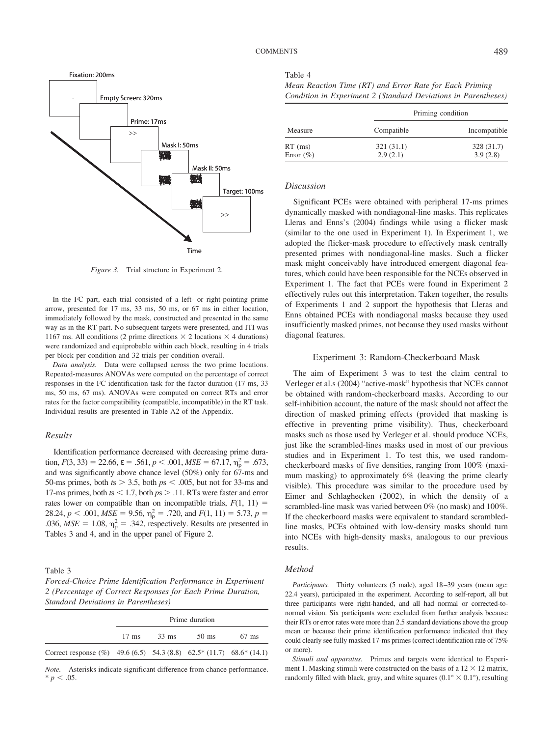

*Figure 3.* Trial structure in Experiment 2.

In the FC part, each trial consisted of a left- or right-pointing prime arrow, presented for 17 ms, 33 ms, 50 ms, or 67 ms in either location, immediately followed by the mask, constructed and presented in the same way as in the RT part. No subsequent targets were presented, and ITI was 1167 ms. All conditions (2 prime directions  $\times$  2 locations  $\times$  4 durations) were randomized and equiprobable within each block, resulting in 4 trials per block per condition and 32 trials per condition overall.

*Data analysis.* Data were collapsed across the two prime locations. Repeated-measures ANOVAs were computed on the percentage of correct responses in the FC identification task for the factor duration (17 ms, 33 ms, 50 ms, 67 ms). ANOVAs were computed on correct RTs and error rates for the factor compatibility (compatible, incompatible) in the RT task. Individual results are presented in Table A2 of the Appendix.

#### *Results*

Identification performance decreased with decreasing prime duration,  $F(3, 33) = 22.66$ ,  $\varepsilon = .561$ ,  $p < .001$ ,  $MSE = 67.17$ ,  $\eta_p^2 = .673$ , and was significantly above chance level (50%) only for 67-ms and 50-ms primes, both  $ts > 3.5$ , both  $ps < .005$ , but not for 33-ms and 17-ms primes, both  $t_s < 1.7$ , both  $p_s > 0.11$ . RTs were faster and error rates lower on compatible than on incompatible trials,  $F(1, 11) =$ 28.24,  $p < .001$ ,  $MSE = 9.56$ ,  $\eta_p^2 = .720$ , and  $F(1, 11) = 5.73$ ,  $p =$ .036,  $MSE = 1.08$ ,  $\eta_p^2 = .342$ , respectively. Results are presented in Tables 3 and 4, and in the upper panel of Figure 2.

Table 3

*Forced-Choice Prime Identification Performance in Experiment 2 (Percentage of Correct Responses for Each Prime Duration, Standard Deviations in Parentheses)*

|                                                                         |                 | Prime duration  |                 |                 |  |
|-------------------------------------------------------------------------|-----------------|-----------------|-----------------|-----------------|--|
|                                                                         | $17 \text{ ms}$ | $33 \text{ ms}$ | $50 \text{ ms}$ | $67 \text{ ms}$ |  |
| Correct response $(\%)$ 49.6 (6.5) 54.3 (8.8) 62.5* (11.7) 68.6* (14.1) |                 |                 |                 |                 |  |

*Note.* Asterisks indicate significant difference from chance performance.  $* p < .05.$ 

| Table 4 |  |  |
|---------|--|--|
|         |  |  |

| Mean Reaction Time (RT) and Error Rate for Each Priming |  |  |                                                                |  |
|---------------------------------------------------------|--|--|----------------------------------------------------------------|--|
|                                                         |  |  | Condition in Experiment 2 (Standard Deviations in Parentheses) |  |

|                            | Priming condition     |                        |  |  |
|----------------------------|-----------------------|------------------------|--|--|
| Measure                    | Compatible            | Incompatible           |  |  |
| $RT$ (ms)<br>Error $(\% )$ | 321(31.1)<br>2.9(2.1) | 328 (31.7)<br>3.9(2.8) |  |  |

#### *Discussion*

Significant PCEs were obtained with peripheral 17-ms primes dynamically masked with nondiagonal-line masks. This replicates Lleras and Enns's (2004) findings while using a flicker mask (similar to the one used in Experiment 1). In Experiment 1, we adopted the flicker-mask procedure to effectively mask centrally presented primes with nondiagonal-line masks. Such a flicker mask might conceivably have introduced emergent diagonal features, which could have been responsible for the NCEs observed in Experiment 1. The fact that PCEs were found in Experiment 2 effectively rules out this interpretation. Taken together, the results of Experiments 1 and 2 support the hypothesis that Lleras and Enns obtained PCEs with nondiagonal masks because they used insufficiently masked primes, not because they used masks without diagonal features.

#### Experiment 3: Random-Checkerboard Mask

The aim of Experiment 3 was to test the claim central to Verleger et al.s (2004) "active-mask" hypothesis that NCEs cannot be obtained with random-checkerboard masks. According to our self-inhibition account, the nature of the mask should not affect the direction of masked priming effects (provided that masking is effective in preventing prime visibility). Thus, checkerboard masks such as those used by Verleger et al. should produce NCEs, just like the scrambled-lines masks used in most of our previous studies and in Experiment 1. To test this, we used randomcheckerboard masks of five densities, ranging from 100% (maximum masking) to approximately 6% (leaving the prime clearly visible). This procedure was similar to the procedure used by Eimer and Schlaghecken (2002), in which the density of a scrambled-line mask was varied between 0% (no mask) and 100%. If the checkerboard masks were equivalent to standard scrambledline masks, PCEs obtained with low-density masks should turn into NCEs with high-density masks, analogous to our previous results.

#### *Method*

*Participants.* Thirty volunteers (5 male), aged 18-39 years (mean age: 22.4 years), participated in the experiment. According to self-report, all but three participants were right-handed, and all had normal or corrected-tonormal vision. Six participants were excluded from further analysis because their RTs or error rates were more than 2.5 standard deviations above the group mean or because their prime identification performance indicated that they could clearly see fully masked 17-ms primes (correct identification rate of 75% or more).

*Stimuli and apparatus.* Primes and targets were identical to Experiment 1. Masking stimuli were constructed on the basis of a  $12 \times 12$  matrix, randomly filled with black, gray, and white squares  $(0.1^{\circ} \times 0.1^{\circ})$ , resulting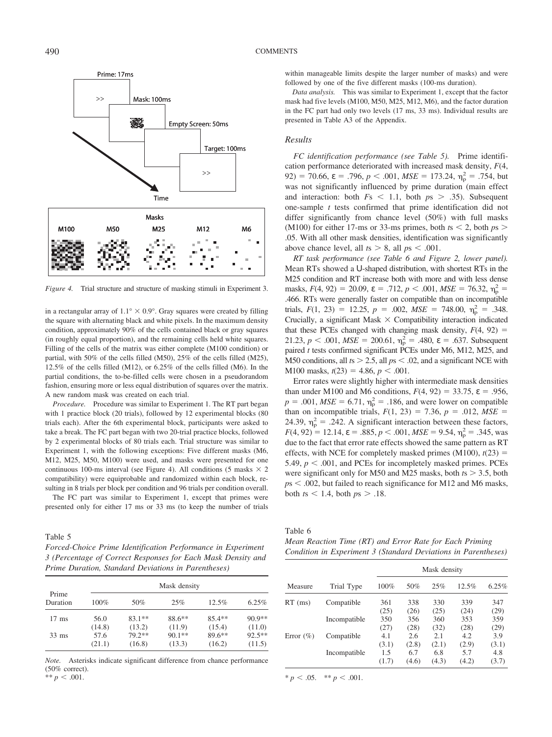

*Figure 4.* Trial structure and structure of masking stimuli in Experiment 3.

in a rectangular array of  $1.1^{\circ} \times 0.9^{\circ}$ . Gray squares were created by filling the square with alternating black and white pixels. In the maximum density condition, approximately 90% of the cells contained black or gray squares (in roughly equal proportion), and the remaining cells held white squares. Filling of the cells of the matrix was either complete (M100 condition) or partial, with 50% of the cells filled (M50), 25% of the cells filled (M25), 12.5% of the cells filled (M12), or 6.25% of the cells filled (M6). In the partial conditions, the to-be-filled cells were chosen in a pseudorandom fashion, ensuring more or less equal distribution of squares over the matrix. A new random mask was created on each trial.

*Procedure.* Procedure was similar to Experiment 1. The RT part began with 1 practice block (20 trials), followed by 12 experimental blocks (80 trials each). After the 6th experimental block, participants were asked to take a break. The FC part began with two 20-trial practice blocks, followed by 2 experimental blocks of 80 trials each. Trial structure was similar to Experiment 1, with the following exceptions: Five different masks (M6, M12, M25, M50, M100) were used, and masks were presented for one continuous 100-ms interval (see Figure 4). All conditions (5 masks  $\times$  2) compatibility) were equiprobable and randomized within each block, resulting in 8 trials per block per condition and 96 trials per condition overall.

The FC part was similar to Experiment 1, except that primes were presented only for either 17 ms or 33 ms (to keep the number of trials

#### Table 5

*Forced-Choice Prime Identification Performance in Experiment 3 (Percentage of Correct Responses for Each Mask Density and Prime Duration, Standard Deviations in Parentheses)*

|                   |        |          | Mask density |          |          |
|-------------------|--------|----------|--------------|----------|----------|
| Prime<br>Duration | 100%   | 50%      | 25%          | 12.5%    | 6.25%    |
| $17 \text{ ms}$   | 56.0   | $83.1**$ | 88.6**       | $85.4**$ | $90.9**$ |
|                   | (14.8) | (13.2)   | (11.9)       | (15.4)   | (11.0)   |
| $33 \text{ ms}$   | 57.6   | 79.2**   | $90.1**$     | 89.6**   | $92.5**$ |
|                   | (21.1) | (16.8)   | (13.3)       | (16.2)   | (11.5)   |

*Note.* Asterisks indicate significant difference from chance performance (50% correct).

\*\*  $p < .001$ .

within manageable limits despite the larger number of masks) and were followed by one of the five different masks (100-ms duration).

*Data analysis.* This was similar to Experiment 1, except that the factor mask had five levels (M100, M50, M25, M12, M6), and the factor duration in the FC part had only two levels (17 ms, 33 ms). Individual results are presented in Table A3 of the Appendix.

#### *Results*

*FC identification performance (see Table 5).* Prime identification performance deteriorated with increased mask density, *F*(4, 92) = 70.66,  $\varepsilon$  = .796,  $p < .001$ ,  $MSE = 173.24$ ,  $\eta_p^2 = .754$ , but was not significantly influenced by prime duration (main effect and interaction: both  $Fs \leq 1.1$ , both  $ps \geq .35$ ). Subsequent one-sample *t* tests confirmed that prime identification did not differ significantly from chance level (50%) with full masks (M100) for either 17-ms or 33-ms primes, both  $t_s < 2$ , both  $p_s >$ .05. With all other mask densities, identification was significantly above chance level, all  $ts > 8$ , all  $ps < .001$ .

*RT task performance (see Table 6 and Figure 2, lower panel).* Mean RTs showed a U-shaped distribution, with shortest RTs in the M25 condition and RT increase both with more and with less dense masks,  $F(4, 92) = 20.09$ ,  $\varepsilon = .712$ ,  $p < .001$ ,  $MSE = 76.32$ ,  $\eta_p^2 =$ .466. RTs were generally faster on compatible than on incompatible trials,  $F(1, 23) = 12.25$ ,  $p = .002$ ,  $MSE = 748.00$ ,  $\eta_p^2 = .348$ . Crucially, a significant Mask  $\times$  Compatibility interaction indicated that these PCEs changed with changing mask density,  $F(4, 92)$  = 21.23,  $p < .001$ ,  $MSE = 200.61$ ,  $\eta_p^2 = .480$ ,  $\varepsilon = .637$ . Subsequent paired *t* tests confirmed significant PCEs under M6, M12, M25, and M50 conditions, all  $ts > 2.5$ , all  $ps < .02$ , and a significant NCE with M100 masks,  $t(23) = 4.86$ ,  $p < .001$ .

Error rates were slightly higher with intermediate mask densities than under M100 and M6 conditions,  $F(4, 92) = 33.75$ ,  $\varepsilon = .956$ ,  $p = .001$ ,  $MSE = 6.71$ ,  $\eta_p^2 = .186$ , and were lower on compatible than on incompatible trials,  $F(1, 23) = 7.36$ ,  $p = .012$ ,  $MSE =$ 24.39,  $\eta_p^2 = .242$ . A significant interaction between these factors,  $F(4, 92) = 12.14$ ,  $\varepsilon = .885$ ,  $p < .001$ ,  $MSE = 9.54$ ,  $\eta_p^2 = .345$ , was due to the fact that error rate effects showed the same pattern as RT effects, with NCE for completely masked primes  $(M100)$ ,  $t(23)$  = 5.49,  $p < .001$ , and PCEs for incompletely masked primes. PCEs were significant only for M50 and M25 masks, both  $ts > 3.5$ , both  $p_s < .002$ , but failed to reach significance for M12 and M6 masks, both  $ts < 1.4$ , both  $ps > .18$ .

Table 6

*Mean Reaction Time (RT) and Error Rate for Each Priming Condition in Experiment 3 (Standard Deviations in Parentheses)*

|               |              |       | Mask density |       |       |       |
|---------------|--------------|-------|--------------|-------|-------|-------|
| Measure       | Trial Type   | 100%  | 50%          | 25%   | 12.5% | 6.25% |
| $RT$ (ms)     | Compatible   | 361   | 338          | 330   | 339   | 347   |
|               |              | (25)  | (26)         | (25)  | (24)  | (29)  |
|               | Incompatible | 350   | 356          | 360   | 353   | 359   |
|               |              | (27)  | (28)         | (32)  | (28)  | (29)  |
| Error $(\% )$ | Compatible   | 4.1   | 2.6          | 2.1   | 4.2   | 3.9   |
|               |              | (3.1) | (2.8)        | (2.1) | (2.9) | (3.1) |
|               | Incompatible | 1.5   | 6.7          | 6.8   | 5.7   | 4.8   |
|               |              | (1.7) | (4.6)        | (4.3) | (4.2) | (3.7) |

 $* p < .05.$  \*\*  $p < .001.$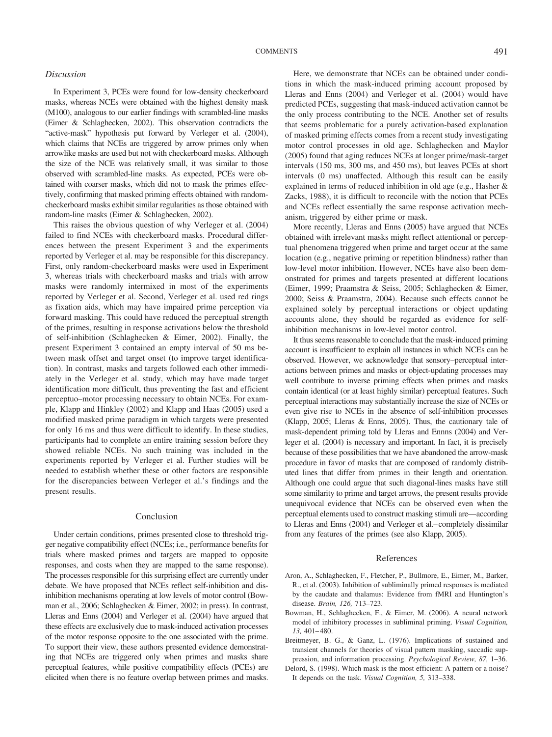## *Discussion*

In Experiment 3, PCEs were found for low-density checkerboard masks, whereas NCEs were obtained with the highest density mask (M100), analogous to our earlier findings with scrambled-line masks (Eimer & Schlaghecken, 2002). This observation contradicts the "active-mask" hypothesis put forward by Verleger et al. (2004), which claims that NCEs are triggered by arrow primes only when arrowlike masks are used but not with checkerboard masks. Although the size of the NCE was relatively small, it was similar to those observed with scrambled-line masks. As expected, PCEs were obtained with coarser masks, which did not to mask the primes effectively, confirming that masked priming effects obtained with randomcheckerboard masks exhibit similar regularities as those obtained with random-line masks (Eimer & Schlaghecken, 2002).

This raises the obvious question of why Verleger et al. (2004) failed to find NCEs with checkerboard masks. Procedural differences between the present Experiment 3 and the experiments reported by Verleger et al. may be responsible for this discrepancy. First, only random-checkerboard masks were used in Experiment 3, whereas trials with checkerboard masks and trials with arrow masks were randomly intermixed in most of the experiments reported by Verleger et al. Second, Verleger et al. used red rings as fixation aids, which may have impaired prime perception via forward masking. This could have reduced the perceptual strength of the primes, resulting in response activations below the threshold of self-inhibition (Schlaghecken & Eimer, 2002). Finally, the present Experiment 3 contained an empty interval of 50 ms between mask offset and target onset (to improve target identification). In contrast, masks and targets followed each other immediately in the Verleger et al. study, which may have made target identification more difficult, thus preventing the fast and efficient perceptuo–motor processing necessary to obtain NCEs. For example, Klapp and Hinkley (2002) and Klapp and Haas (2005) used a modified masked prime paradigm in which targets were presented for only 16 ms and thus were difficult to identify. In these studies, participants had to complete an entire training session before they showed reliable NCEs. No such training was included in the experiments reported by Verleger et al. Further studies will be needed to establish whether these or other factors are responsible for the discrepancies between Verleger et al.'s findings and the present results.

#### Conclusion

Under certain conditions, primes presented close to threshold trigger negative compatibility effect (NCEs; i.e., performance benefits for trials where masked primes and targets are mapped to opposite responses, and costs when they are mapped to the same response). The processes responsible for this surprising effect are currently under debate. We have proposed that NCEs reflect self-inhibition and disinhibition mechanisms operating at low levels of motor control (Bowman et al., 2006; Schlaghecken & Eimer, 2002; in press). In contrast, Lleras and Enns (2004) and Verleger et al. (2004) have argued that these effects are exclusively due to mask-induced activation processes of the motor response opposite to the one associated with the prime. To support their view, these authors presented evidence demonstrating that NCEs are triggered only when primes and masks share perceptual features, while positive compatibility effects (PCEs) are elicited when there is no feature overlap between primes and masks.

Here, we demonstrate that NCEs can be obtained under conditions in which the mask-induced priming account proposed by Lleras and Enns (2004) and Verleger et al. (2004) would have predicted PCEs, suggesting that mask-induced activation cannot be the only process contributing to the NCE. Another set of results that seems problematic for a purely activation-based explanation of masked priming effects comes from a recent study investigating motor control processes in old age. Schlaghecken and Maylor (2005) found that aging reduces NCEs at longer prime/mask-target intervals (150 ms, 300 ms, and 450 ms), but leaves PCEs at short intervals (0 ms) unaffected. Although this result can be easily explained in terms of reduced inhibition in old age (e.g., Hasher & Zacks, 1988), it is difficult to reconcile with the notion that PCEs and NCEs reflect essentially the same response activation mechanism, triggered by either prime or mask.

More recently, Lleras and Enns (2005) have argued that NCEs obtained with irrelevant masks might reflect attentional or perceptual phenomena triggered when prime and target occur at the same location (e.g., negative priming or repetition blindness) rather than low-level motor inhibition. However, NCEs have also been demonstrated for primes and targets presented at different locations (Eimer, 1999; Praamstra & Seiss, 2005; Schlaghecken & Eimer, 2000; Seiss & Praamstra, 2004). Because such effects cannot be explained solely by perceptual interactions or object updating accounts alone, they should be regarded as evidence for selfinhibition mechanisms in low-level motor control.

It thus seems reasonable to conclude that the mask-induced priming account is insufficient to explain all instances in which NCEs can be observed. However, we acknowledge that sensory–perceptual interactions between primes and masks or object-updating processes may well contribute to inverse priming effects when primes and masks contain identical (or at least highly similar) perceptual features. Such perceptual interactions may substantially increase the size of NCEs or even give rise to NCEs in the absence of self-inhibition processes (Klapp, 2005; Lleras & Enns, 2005). Thus, the cautionary tale of mask-dependent priming told by Lleras and Ennns (2004) and Verleger et al. (2004) is necessary and important. In fact, it is precisely because of these possibilities that we have abandoned the arrow-mask procedure in favor of masks that are composed of randomly distributed lines that differ from primes in their length and orientation. Although one could argue that such diagonal-lines masks have still some similarity to prime and target arrows, the present results provide unequivocal evidence that NCEs can be observed even when the perceptual elements used to construct masking stimuli are—according to Lleras and Enns (2004) and Verleger et al.–completely dissimilar from any features of the primes (see also Klapp, 2005).

### References

- Aron, A., Schlaghecken, F., Fletcher, P., Bullmore, E., Eimer, M., Barker, R., et al. (2003). Inhibition of subliminally primed responses is mediated by the caudate and thalamus: Evidence from fMRI and Huntington's disease. *Brain, 126,* 713–723.
- Bowman, H., Schlaghecken, F., & Eimer, M. (2006). A neural network model of inhibitory processes in subliminal priming. *Visual Cognition, 13,* 401– 480.
- Breitmeyer, B. G., & Ganz, L. (1976). Implications of sustained and transient channels for theories of visual pattern masking, saccadic suppression, and information processing. *Psychological Review, 87,* 1–36.
- Delord, S. (1998). Which mask is the most efficient: A pattern or a noise? It depends on the task. *Visual Cognition, 5,* 313–338.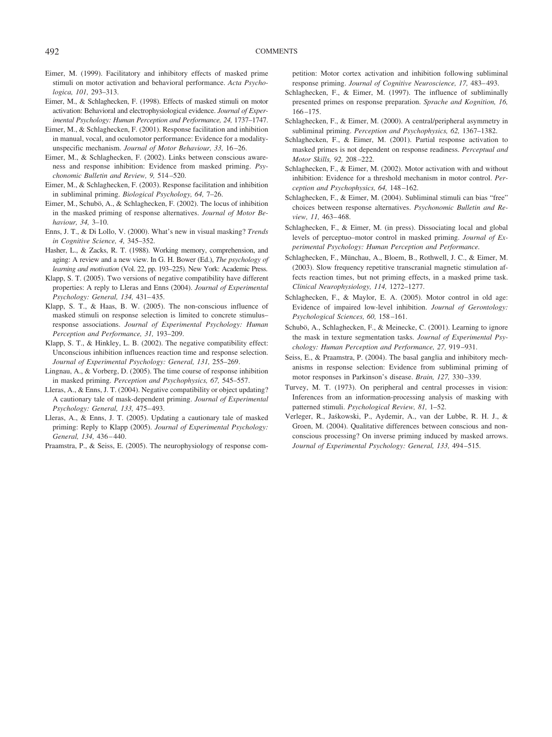- Eimer, M. (1999). Facilitatory and inhibitory effects of masked prime stimuli on motor activation and behavioral performance. *Acta Psychologica, 101,* 293–313.
- Eimer, M., & Schlaghecken, F. (1998). Effects of masked stimuli on motor activation: Behavioral and electrophysiological evidence. *Journal of Experimental Psychology: Human Perception and Performance, 24,* 1737–1747.
- Eimer, M., & Schlaghecken, F. (2001). Response facilitation and inhibition in manual, vocal, and oculomotor performance: Evidence for a modalityunspecific mechanism. *Journal of Motor Behaviour, 33,* 16 –26.
- Eimer, M., & Schlaghecken, F. (2002). Links between conscious awareness and response inhibition: Evidence from masked priming. *Psychonomic Bulletin and Review, 9,* 514 –520.
- Eimer, M., & Schlaghecken, F. (2003). Response facilitation and inhibition in subliminal priming. *Biological Psychology, 64,* 7–26.
- Eimer, M., Schubö, A., & Schlaghecken, F. (2002). The locus of inhibition in the masked priming of response alternatives. *Journal of Motor Behaviour, 34,* 3–10.
- Enns, J. T., & Di Lollo, V. (2000). What's new in visual masking? *Trends in Cognitive Science, 4,* 345–352.
- Hasher, L., & Zacks, R. T. (1988). Working memory, comprehension, and aging: A review and a new view. In G. H. Bower (Ed.), *The psychology of learning and motivation* (Vol. 22, pp. 193–225). New York: Academic Press.
- Klapp, S. T. (2005). Two versions of negative compatibility have different properties: A reply to Lleras and Enns (2004). *Journal of Experimental Psychology: General, 134,* 431– 435.
- Klapp, S. T., & Haas, B. W. (2005). The non-conscious influence of masked stimuli on response selection is limited to concrete stimulus– response associations. *Journal of Experimental Psychology: Human Perception and Performance, 31,* 193–209.
- Klapp, S. T., & Hinkley, L. B. (2002). The negative compatibility effect: Unconscious inhibition influences reaction time and response selection. *Journal of Experimental Psychology: General, 131,* 255–269.
- Lingnau, A., & Vorberg, D. (2005). The time course of response inhibition in masked priming. *Perception and Psychophysics, 67,* 545–557.
- Lleras, A., & Enns, J. T. (2004). Negative compatibility or object updating? A cautionary tale of mask-dependent priming. *Journal of Experimental Psychology: General, 133,* 475– 493.
- Lleras, A., & Enns, J. T. (2005). Updating a cautionary tale of masked priming: Reply to Klapp (2005). *Journal of Experimental Psychology: General, 134,* 436 – 440.

Praamstra, P., & Seiss, E. (2005). The neurophysiology of response com-

petition: Motor cortex activation and inhibition following subliminal response priming. *Journal of Cognitive Neuroscience*, 17, 483-493.

- Schlaghecken, F., & Eimer, M. (1997). The influence of subliminally presented primes on response preparation. *Sprache and Kognition, 16,* 166 –175.
- Schlaghecken, F., & Eimer, M. (2000). A central/peripheral asymmetry in subliminal priming. *Perception and Psychophysics, 62,* 1367–1382.
- Schlaghecken, F., & Eimer, M. (2001). Partial response activation to masked primes is not dependent on response readiness. *Perceptual and Motor Skills, 92,* 208 –222.
- Schlaghecken, F., & Eimer, M. (2002). Motor activation with and without inhibition: Evidence for a threshold mechanism in motor control. *Perception and Psychophysics, 64,* 148 –162.
- Schlaghecken, F., & Eimer, M. (2004). Subliminal stimuli can bias "free" choices between response alternatives. *Psychonomic Bulletin and Review, 11,* 463– 468.
- Schlaghecken, F., & Eimer, M. (in press). Dissociating local and global levels of perceptuo–motor control in masked priming. *Journal of Experimental Psychology: Human Perception and Performance.*
- Schlaghecken, F., Münchau, A., Bloem, B., Rothwell, J. C., & Eimer, M. (2003). Slow frequency repetitive transcranial magnetic stimulation affects reaction times, but not priming effects, in a masked prime task. *Clinical Neurophysiology, 114,* 1272–1277.
- Schlaghecken, F., & Maylor, E. A. (2005). Motor control in old age: Evidence of impaired low-level inhibition. *Journal of Gerontology: Psychological Sciences, 60,* 158 –161.
- Schubö, A., Schlaghecken, F., & Meinecke, C. (2001). Learning to ignore the mask in texture segmentation tasks. *Journal of Experimental Psychology: Human Perception and Performance, 27,* 919 –931.
- Seiss, E., & Praamstra, P. (2004). The basal ganglia and inhibitory mechanisms in response selection: Evidence from subliminal priming of motor responses in Parkinson's disease. *Brain, 127,* 330 –339.
- Turvey, M. T. (1973). On peripheral and central processes in vision: Inferences from an information-processing analysis of masking with patterned stimuli. *Psychological Review, 81,* 1–52.
- Verleger, R., Jaskowski, P., Aydemir, A., van der Lubbe, R. H. J., & Groen, M. (2004). Qualitative differences between conscious and nonconscious processing? On inverse priming induced by masked arrows. *Journal of Experimental Psychology: General, 133,* 494 –515.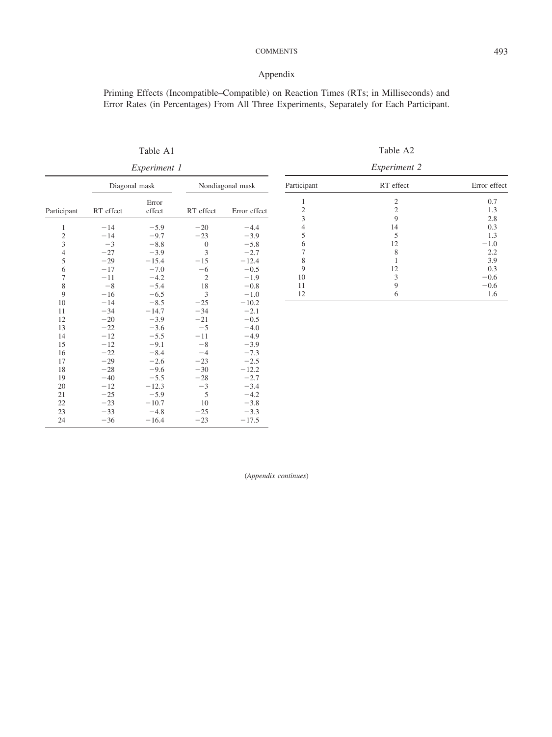## Appendix

Priming Effects (Incompatible–Compatible) on Reaction Times (RTs; in Milliseconds) and Error Rates (in Percentages) From All Three Experiments, Separately for Each Participant.

Table A1

| Experiment 1            |               |                 |                |                  |  |  |
|-------------------------|---------------|-----------------|----------------|------------------|--|--|
|                         | Diagonal mask |                 |                | Nondiagonal mask |  |  |
| Participant             | RT effect     | Error<br>effect | RT effect      | Error effect     |  |  |
| $\mathbf{1}$            | $-14$         | $-5.9$          | $-20$          | $-4.4$           |  |  |
| $\overline{\mathbf{c}}$ | $-14$         | $-9.7$          | $-23$          | $-3.9$           |  |  |
| 3                       | $-3$          | $-8.8$          | $\mathbf{0}$   | $-5.8$           |  |  |
| $\overline{4}$          | $-27$         | $-3.9$          | 3              | $-2.7$           |  |  |
| 5                       | $-29$         | $-15.4$         | $-15$          | $-12.4$          |  |  |
| 6                       | $-17$         | $-7.0$          | $-6$           | $-0.5$           |  |  |
| $\overline{7}$          | $-11$         | $-4.2$          | $\overline{2}$ | $-1.9$           |  |  |
| 8                       | $-8$          | $-5.4$          | 18             | $-0.8$           |  |  |
| 9                       | $-16$         | $-6.5$          | 3              | $-1.0$           |  |  |
| 10                      | $-14$         | $-8.5$          | $-25$          | $-10.2$          |  |  |
| 11                      | $-34$         | $-14.7$         | $-34$          | $-2.1$           |  |  |
| 12                      | $-20$         | $-3.9$          | $-21$          | $-0.5$           |  |  |
| 13                      | $-22$         | $-3.6$          | $-5$           | $-4.0$           |  |  |
| 14                      | $-12$         | $-5.5$          | $-11$          | $-4.9$           |  |  |
| 15                      | $-12$         | $-9.1$          | $-8$           | $-3.9$           |  |  |
| 16                      | $-22$         | $-8.4$          | $-4$           | $-7.3$           |  |  |
| 17                      | $-29$         | $-2.6$          | $-23$          | $-2.5$           |  |  |
| 18                      | $-28$         | $-9.6$          | $-30$          | $-12.2$          |  |  |
| 19                      | $-40$         | $-5.5$          | $-28$          | $-2.7$           |  |  |
| 20                      | $-12$         | $-12.3$         | $-3$           | $-3.4$           |  |  |
| 21                      | $-25$         | $-5.9$          | 5              | $-4.2$           |  |  |
| 22                      | $-23$         | $-10.7$         | 10             | $-3.8$           |  |  |
| 23                      | $-33$         | $-4.8$          | $-25$          | $-3.3$           |  |  |
| 24                      | $-36$         | $-16.4$         | $-23$          | $-17.5$          |  |  |

| <b>Experiment 2</b> |                |              |  |
|---------------------|----------------|--------------|--|
| Participant         | RT effect      | Error effect |  |
|                     | $\overline{2}$ | 0.7          |  |
| 2                   | $\overline{2}$ | 1.3          |  |
| 3                   | 9              | 2.8          |  |
| 4                   | 14             | 0.3          |  |
| 5                   | 5              | 1.3          |  |
| 6                   | 12             | $-1.0$       |  |
|                     | 8              | 2.2          |  |
| 8                   |                | 3.9          |  |
| 9                   | 12             | 0.3          |  |
| 10                  | 3              | $-0.6$       |  |
| 11                  | 9              | $-0.6$       |  |
| 12                  | 6              | 1.6          |  |

Table A2

(*Appendix continues*)